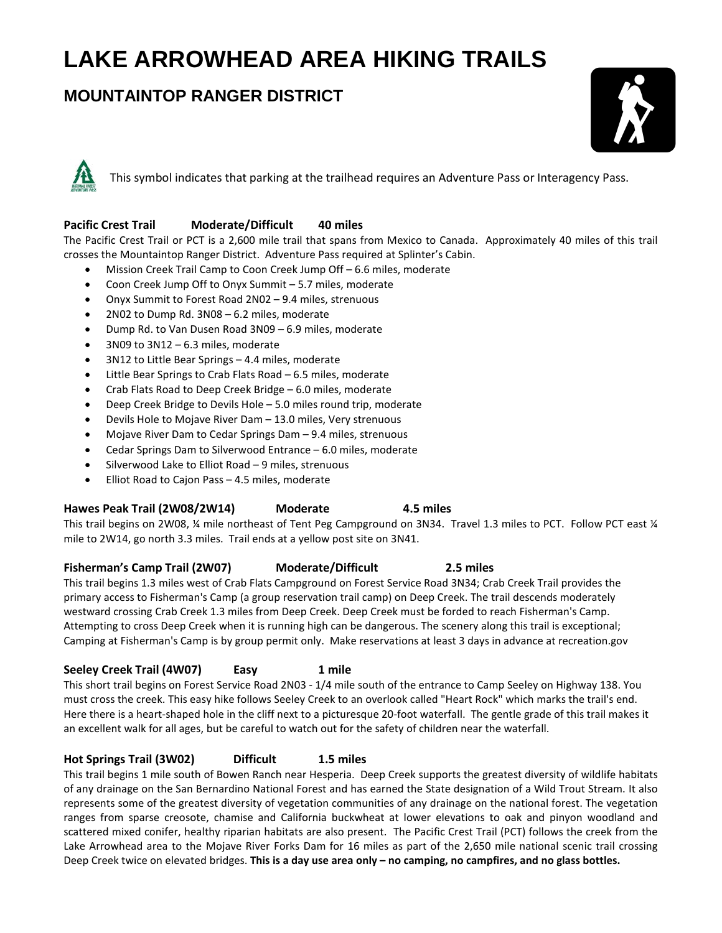# **LAKE ARROWHEAD AREA HIKING TRAILS**

# **MOUNTAINTOP RANGER DISTRICT**



This symbol indicates that parking at the trailhead requires an Adventure Pass or Interagency Pass.

# **Pacific Crest Trail Moderate/Difficult 40 miles**

The Pacific Crest Trail or PCT is a 2,600 mile trail that spans from Mexico to Canada. Approximately 40 miles of this trail crosses the Mountaintop Ranger District. Adventure Pass required at Splinter's Cabin.

- Mission Creek Trail Camp to Coon Creek Jump Off 6.6 miles, moderate
- Coon Creek Jump Off to Onyx Summit 5.7 miles, moderate
- Onyx Summit to Forest Road 2N02 9.4 miles, strenuous
- 2N02 to Dump Rd. 3N08 6.2 miles, moderate
- Dump Rd. to Van Dusen Road 3N09 6.9 miles, moderate
- 3N09 to 3N12 6.3 miles, moderate
- 3N12 to Little Bear Springs 4.4 miles, moderate
- Little Bear Springs to Crab Flats Road 6.5 miles, moderate
- Crab Flats Road to Deep Creek Bridge 6.0 miles, moderate
- Deep Creek Bridge to Devils Hole 5.0 miles round trip, moderate
- Devils Hole to Mojave River Dam 13.0 miles, Very strenuous
- Mojave River Dam to Cedar Springs Dam 9.4 miles, strenuous
- Cedar Springs Dam to Silverwood Entrance 6.0 miles, moderate
- Silverwood Lake to Elliot Road 9 miles, strenuous
- Elliot Road to Cajon Pass 4.5 miles, moderate

# **Hawes Peak Trail (2W08/2W14) Moderate 4.5 miles**

This trail begins on 2W08, ¼ mile northeast of Tent Peg Campground on 3N34. Travel 1.3 miles to PCT. Follow PCT east ¼ mile to 2W14, go north 3.3 miles. Trail ends at a yellow post site on 3N41.

# **Fisherman's Camp Trail (2W07) Moderate/Difficult 2.5 miles**

This trail begins 1.3 miles west of Crab Flats Campground on Forest Service Road 3N34; Crab Creek Trail provides the primary access to Fisherman's Camp (a group reservation trail camp) on Deep Creek. The trail descends moderately westward crossing Crab Creek 1.3 miles from Deep Creek. Deep Creek must be forded to reach Fisherman's Camp. Attempting to cross Deep Creek when it is running high can be dangerous. The scenery along this trail is exceptional; Camping at Fisherman's Camp is by group permit only. Make reservations at least 3 days in advance at recreation.gov

# **Seeley Creek Trail (4W07) Easy 1 mile**

This short trail begins on Forest Service Road 2N03 - 1/4 mile south of the entrance to Camp Seeley on Highway 138. You must cross the creek. This easy hike follows Seeley Creek to an overlook called "Heart Rock" which marks the trail's end. Here there is a heart-shaped hole in the cliff next to a picturesque 20-foot waterfall. The gentle grade of this trail makes it an excellent walk for all ages, but be careful to watch out for the safety of children near the waterfall.

# **Hot Springs Trail (3W02) Difficult 1.5 miles**

This trail begins 1 mile south of Bowen Ranch near Hesperia. Deep Creek supports the greatest diversity of wildlife habitats of any drainage on the San Bernardino National Forest and has earned the State designation of a Wild Trout Stream. It also represents some of the greatest diversity of vegetation communities of any drainage on the national forest. The vegetation ranges from sparse creosote, chamise and California buckwheat at lower elevations to oak and pinyon woodland and scattered mixed conifer, healthy riparian habitats are also present. The Pacific Crest Trail (PCT) follows the creek from the Lake Arrowhead area to the Mojave River Forks Dam for 16 miles as part of the 2,650 mile national scenic trail crossing Deep Creek twice on elevated bridges. **This is a day use area only – no camping, no campfires, and no glass bottles.**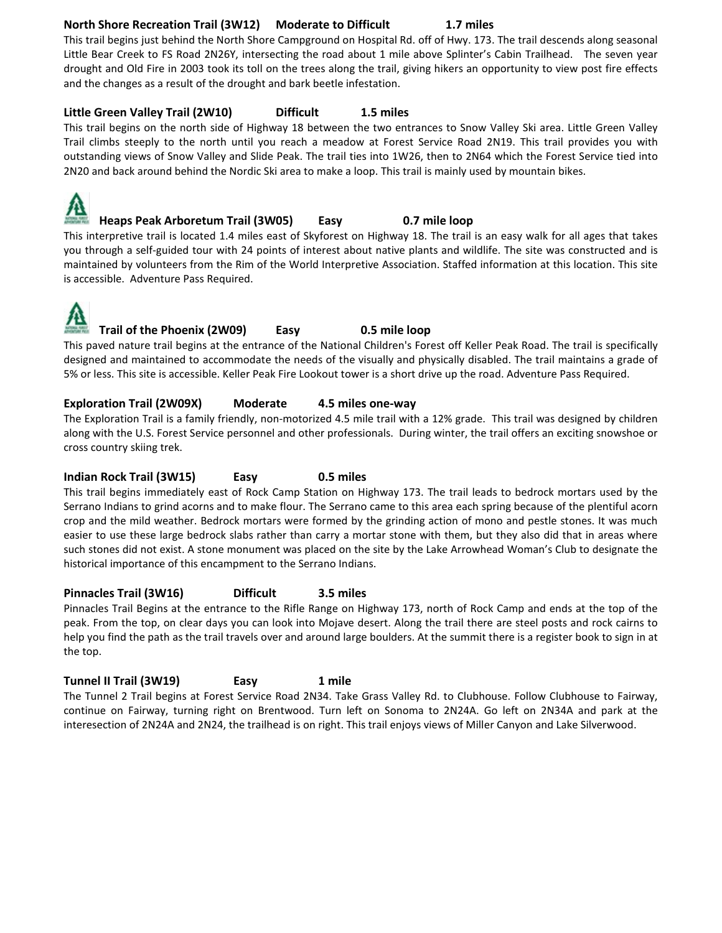#### **North Shore Recreation Trail (3W12) Moderate to Difficult 1.7 miles**

This trail begins just behind the North Shore Campground on Hospital Rd. off of Hwy. 173. The trail descends along seasonal Little Bear Creek to FS Road 2N26Y, intersecting the road about 1 mile above Splinter's Cabin Trailhead. The seven year drought and Old Fire in 2003 took its toll on the trees along the trail, giving hikers an opportunity to view post fire effects and the changes as a result of the drought and bark beetle infestation.

#### **Little Green Valley Trail (2W10) Difficult 1.5 miles**

This trail begins on the north side of Highway 18 between the two entrances to Snow Valley Ski area. Little Green Valley Trail climbs steeply to the north until you reach a meadow at Forest Service Road 2N19. This trail provides you with outstanding views of Snow Valley and Slide Peak. The trail ties into 1W26, then to 2N64 which the Forest Service tied into 2N20 and back around behind the Nordic Ski area to make a loop. This trail is mainly used by mountain bikes.



### **Heaps Peak Arboretum Trail (3W05) Easy 0.7 mile loop**

This interpretive trail is located 1.4 miles east of Skyforest on Highway 18. The trail is an easy walk for all ages that takes you through a self-guided tour with 24 points of interest about native plants and wildlife. The site was constructed and is maintained by volunteers from the Rim of the World Interpretive Association. Staffed information at this location. This site is accessible. Adventure Pass Required.



# **Trail of the Phoenix (2W09) Easy 0.5 mile loop**

This paved nature trail begins at the entrance of the National Children's Forest off Keller Peak Road. The trail is specifically designed and maintained to accommodate the needs of the visually and physically disabled. The trail maintains a grade of 5% or less. This site is accessible. Keller Peak Fire Lookout tower is a short drive up the road. Adventure Pass Required.

#### **Exploration Trail (2W09X) Moderate 4.5 miles one-way**

The Exploration Trail is a family friendly, non-motorized 4.5 mile trail with a 12% grade. This trail was designed by children along with the U.S. Forest Service personnel and other professionals. During winter, the trail offers an exciting snowshoe or cross country skiing trek.

#### **Indian Rock Trail (3W15) Easy 0.5 miles**

This trail begins immediately east of Rock Camp Station on Highway 173. The trail leads to bedrock mortars used by the Serrano Indians to grind acorns and to make flour. The Serrano came to this area each spring because of the plentiful acorn crop and the mild weather. Bedrock mortars were formed by the grinding action of mono and pestle stones. It was much easier to use these large bedrock slabs rather than carry a mortar stone with them, but they also did that in areas where such stones did not exist. A stone monument was placed on the site by the Lake Arrowhead Woman's Club to designate the historical importance of this encampment to the Serrano Indians.

#### **Pinnacles Trail (3W16) Difficult 3.5 miles**

Pinnacles Trail Begins at the entrance to the Rifle Range on Highway 173, north of Rock Camp and ends at the top of the peak. From the top, on clear days you can look into Mojave desert. Along the trail there are steel posts and rock cairns to help you find the path as the trail travels over and around large boulders. At the summit there is a register book to sign in at the top.

#### **Tunnel II Trail (3W19) Easy 1 mile**

The Tunnel 2 Trail begins at Forest Service Road 2N34. Take Grass Valley Rd. to Clubhouse. Follow Clubhouse to Fairway, continue on Fairway, turning right on Brentwood. Turn left on Sonoma to 2N24A. Go left on 2N34A and park at the interesection of 2N24A and 2N24, the trailhead is on right. This trail enjoys views of Miller Canyon and Lake Silverwood.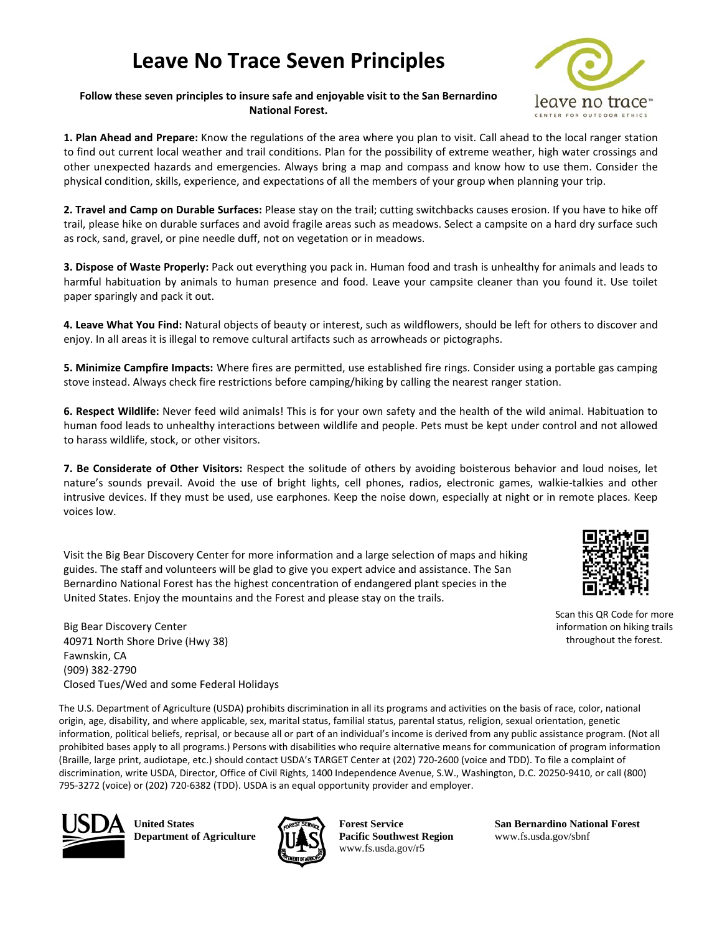# **Leave No Trace Seven Principles**

**Follow these seven principles to insure safe and enjoyable visit to the San Bernardino National Forest.**



**1. Plan Ahead and Prepare:** Know the regulations of the area where you plan to visit. Call ahead to the local ranger station to find out current local weather and trail conditions. Plan for the possibility of extreme weather, high water crossings and other unexpected hazards and emergencies. Always bring a map and compass and know how to use them. Consider the physical condition, skills, experience, and expectations of all the members of your group when planning your trip.

**2. Travel and Camp on Durable Surfaces:** Please stay on the trail; cutting switchbacks causes erosion. If you have to hike off trail, please hike on durable surfaces and avoid fragile areas such as meadows. Select a campsite on a hard dry surface such as rock, sand, gravel, or pine needle duff, not on vegetation or in meadows.

**3. Dispose of Waste Properly:** Pack out everything you pack in. Human food and trash is unhealthy for animals and leads to harmful habituation by animals to human presence and food. Leave your campsite cleaner than you found it. Use toilet paper sparingly and pack it out.

**4. Leave What You Find:** Natural objects of beauty or interest, such as wildflowers, should be left for others to discover and enjoy. In all areas it is illegal to remove cultural artifacts such as arrowheads or pictographs.

**5. Minimize Campfire Impacts:** Where fires are permitted, use established fire rings. Consider using a portable gas camping stove instead. Always check fire restrictions before camping/hiking by calling the nearest ranger station.

**6. Respect Wildlife:** Never feed wild animals! This is for your own safety and the health of the wild animal. Habituation to human food leads to unhealthy interactions between wildlife and people. Pets must be kept under control and not allowed to harass wildlife, stock, or other visitors.

**7. Be Considerate of Other Visitors:** Respect the solitude of others by avoiding boisterous behavior and loud noises, let nature's sounds prevail. Avoid the use of bright lights, cell phones, radios, electronic games, walkie-talkies and other intrusive devices. If they must be used, use earphones. Keep the noise down, especially at night or in remote places. Keep voices low.

Visit the Big Bear Discovery Center for more information and a large selection of maps and hiking guides. The staff and volunteers will be glad to give you expert advice and assistance. The San Bernardino National Forest has the highest concentration of endangered plant species in the United States. Enjoy the mountains and the Forest and please stay on the trails.

Big Bear Discovery Center 40971 North Shore Drive (Hwy 38) Fawnskin, CA (909) 382-2790 Closed Tues/Wed and some Federal Holidays

Scan this QR Code for more information on hiking trails throughout the forest.

The U.S. Department of Agriculture (USDA) prohibits discrimination in all its programs and activities on the basis of race, color, national origin, age, disability, and where applicable, sex, marital status, familial status, parental status, religion, sexual orientation, genetic information, political beliefs, reprisal, or because all or part of an individual's income is derived from any public assistance program. (Not all prohibited bases apply to all programs.) Persons with disabilities who require alternative means for communication of program information (Braille, large print, audiotape, etc.) should contact USDA's TARGET Center at (202) 720-2600 (voice and TDD). To file a complaint of discrimination, write USDA, Director, Office of Civil Rights, 1400 Independence Avenue, S.W., Washington, D.C. 20250-9410, or call (800) 795-3272 (voice) or (202) 720-6382 (TDD). USDA is an equal opportunity provider and employer.



**United States Department of Agriculture**



**Forest Service Pacific Southwest Region** www.fs.usda.gov/r5

**San Bernardino National Forest** www.fs.usda.gov/sbnf